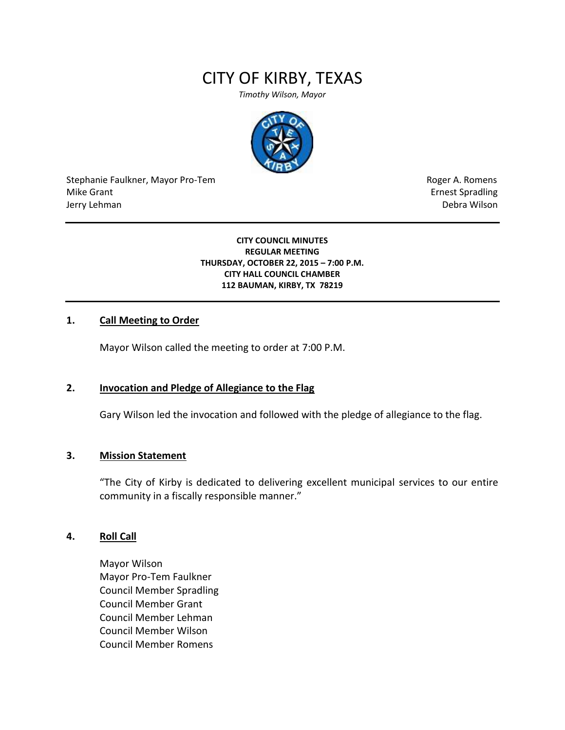# CITY OF KIRBY, TEXAS

*Timothy Wilson, Mayor*



Stephanie Faulkner, Mayor Pro-Tem **Roger A. Romens** Roger A. Romens Mike Grant **Example 2018** and the set of the set of the set of the set of the set of the set of the set of the set of the set of the set of the set of the set of the set of the set of the set of the set of the set of the s Jerry Lehman Debra Wilson

**CITY COUNCIL MINUTES REGULAR MEETING THURSDAY, OCTOBER 22, 2015 – 7:00 P.M. CITY HALL COUNCIL CHAMBER 112 BAUMAN, KIRBY, TX 78219**

#### **1. Call Meeting to Order**

Mayor Wilson called the meeting to order at 7:00 P.M.

#### **2. Invocation and Pledge of Allegiance to the Flag**

Gary Wilson led the invocation and followed with the pledge of allegiance to the flag.

#### **3. Mission Statement**

"The City of Kirby is dedicated to delivering excellent municipal services to our entire community in a fiscally responsible manner."

#### **4. Roll Call**

Mayor Wilson Mayor Pro-Tem Faulkner Council Member Spradling Council Member Grant Council Member Lehman Council Member Wilson Council Member Romens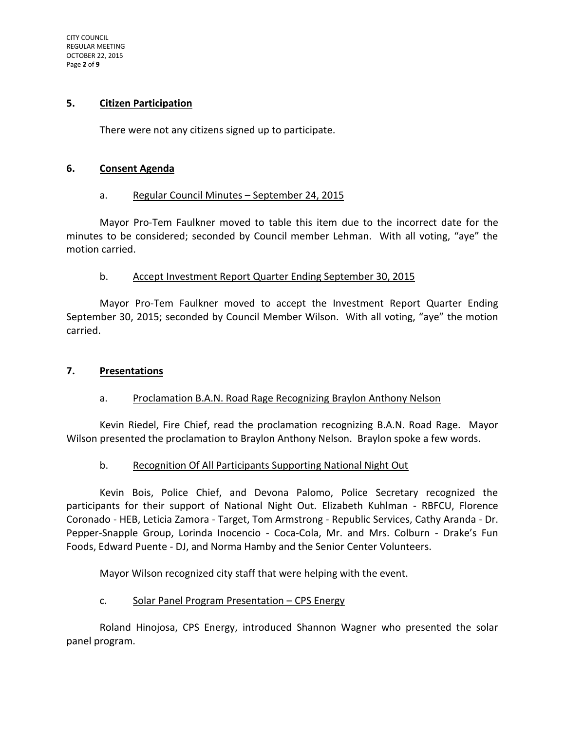CITY COUNCIL REGULAR MEETING OCTOBER 22, 2015 Page **2** of **9**

#### **5. Citizen Participation**

There were not any citizens signed up to participate.

#### **6. Consent Agenda**

#### a. Regular Council Minutes - September 24, 2015

Mayor Pro-Tem Faulkner moved to table this item due to the incorrect date for the minutes to be considered; seconded by Council member Lehman. With all voting, "aye" the motion carried.

#### b. Accept Investment Report Quarter Ending September 30, 2015

Mayor Pro-Tem Faulkner moved to accept the Investment Report Quarter Ending September 30, 2015; seconded by Council Member Wilson. With all voting, "aye" the motion carried.

#### **7. Presentations**

#### a. Proclamation B.A.N. Road Rage Recognizing Braylon Anthony Nelson

Kevin Riedel, Fire Chief, read the proclamation recognizing B.A.N. Road Rage. Mayor Wilson presented the proclamation to Braylon Anthony Nelson. Braylon spoke a few words.

#### b. Recognition Of All Participants Supporting National Night Out

Kevin Bois, Police Chief, and Devona Palomo, Police Secretary recognized the participants for their support of National Night Out. Elizabeth Kuhlman - RBFCU, Florence Coronado - HEB, Leticia Zamora - Target, Tom Armstrong - Republic Services, Cathy Aranda - Dr. Pepper-Snapple Group, Lorinda Inocencio - Coca-Cola, Mr. and Mrs. Colburn - Drake's Fun Foods, Edward Puente - DJ, and Norma Hamby and the Senior Center Volunteers.

Mayor Wilson recognized city staff that were helping with the event.

#### c. Solar Panel Program Presentation – CPS Energy

Roland Hinojosa, CPS Energy, introduced Shannon Wagner who presented the solar panel program.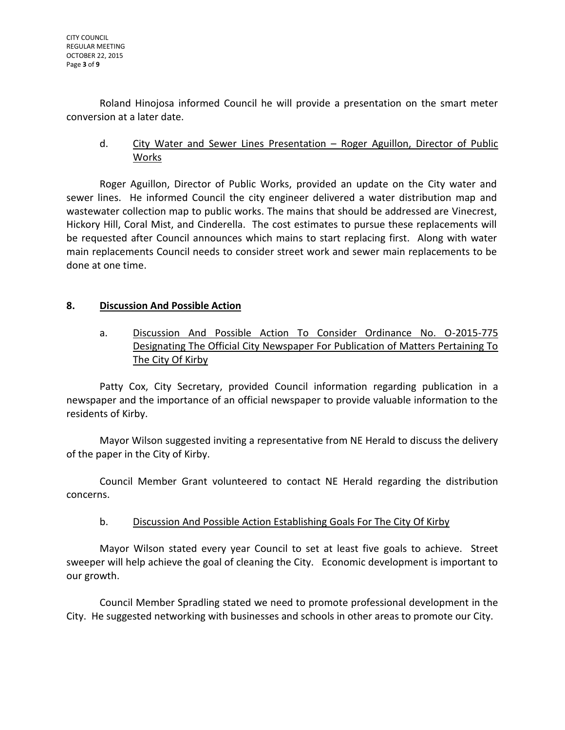Roland Hinojosa informed Council he will provide a presentation on the smart meter conversion at a later date.

d. City Water and Sewer Lines Presentation – Roger Aguillon, Director of Public Works

Roger Aguillon, Director of Public Works, provided an update on the City water and sewer lines. He informed Council the city engineer delivered a water distribution map and wastewater collection map to public works. The mains that should be addressed are Vinecrest, Hickory Hill, Coral Mist, and Cinderella. The cost estimates to pursue these replacements will be requested after Council announces which mains to start replacing first. Along with water main replacements Council needs to consider street work and sewer main replacements to be done at one time.

## **8. Discussion And Possible Action**

a. Discussion And Possible Action To Consider Ordinance No. O-2015-775 Designating The Official City Newspaper For Publication of Matters Pertaining To The City Of Kirby

Patty Cox, City Secretary, provided Council information regarding publication in a newspaper and the importance of an official newspaper to provide valuable information to the residents of Kirby.

Mayor Wilson suggested inviting a representative from NE Herald to discuss the delivery of the paper in the City of Kirby.

Council Member Grant volunteered to contact NE Herald regarding the distribution concerns.

## b. Discussion And Possible Action Establishing Goals For The City Of Kirby

Mayor Wilson stated every year Council to set at least five goals to achieve. Street sweeper will help achieve the goal of cleaning the City. Economic development is important to our growth.

Council Member Spradling stated we need to promote professional development in the City. He suggested networking with businesses and schools in other areas to promote our City.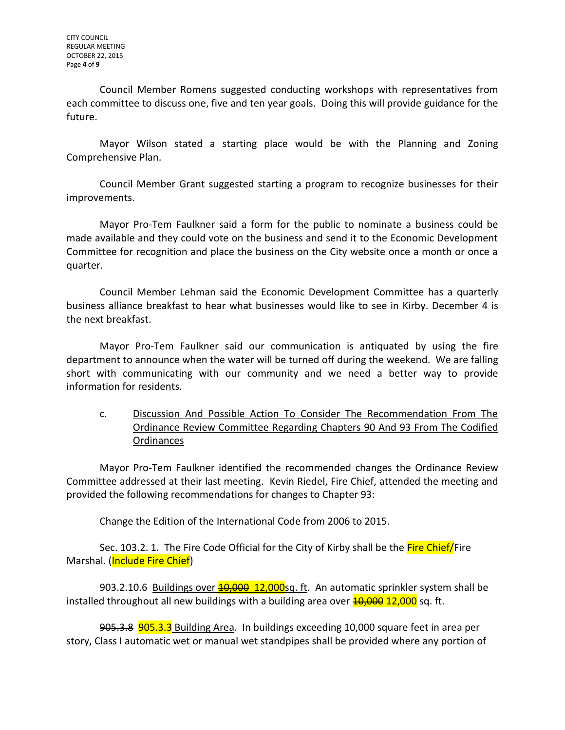CITY COUNCIL REGULAR MEETING OCTOBER 22, 2015 Page **4** of **9**

Council Member Romens suggested conducting workshops with representatives from each committee to discuss one, five and ten year goals. Doing this will provide guidance for the future.

Mayor Wilson stated a starting place would be with the Planning and Zoning Comprehensive Plan.

Council Member Grant suggested starting a program to recognize businesses for their improvements.

Mayor Pro-Tem Faulkner said a form for the public to nominate a business could be made available and they could vote on the business and send it to the Economic Development Committee for recognition and place the business on the City website once a month or once a quarter.

Council Member Lehman said the Economic Development Committee has a quarterly business alliance breakfast to hear what businesses would like to see in Kirby. December 4 is the next breakfast.

Mayor Pro-Tem Faulkner said our communication is antiquated by using the fire department to announce when the water will be turned off during the weekend. We are falling short with communicating with our community and we need a better way to provide information for residents.

c. Discussion And Possible Action To Consider The Recommendation From The Ordinance Review Committee Regarding Chapters 90 And 93 From The Codified **Ordinances** 

Mayor Pro-Tem Faulkner identified the recommended changes the Ordinance Review Committee addressed at their last meeting. Kevin Riedel, Fire Chief, attended the meeting and provided the following recommendations for changes to Chapter 93:

Change the Edition of the International Code from 2006 to 2015.

Sec. 103.2. 1. The Fire Code Official for the City of Kirby shall be the Fire Chief/Fire Marshal. (Include Fire Chief)

903.2.10.6 Buildings over **10,000 12,000**sg. ft. An automatic sprinkler system shall be installed throughout all new buildings with a building area over  $\frac{40,000}{12,000}$  sq. ft.

905.3.8 905.3.3 Building Area. In buildings exceeding 10,000 square feet in area per story, Class I automatic wet or manual wet standpipes shall be provided where any portion of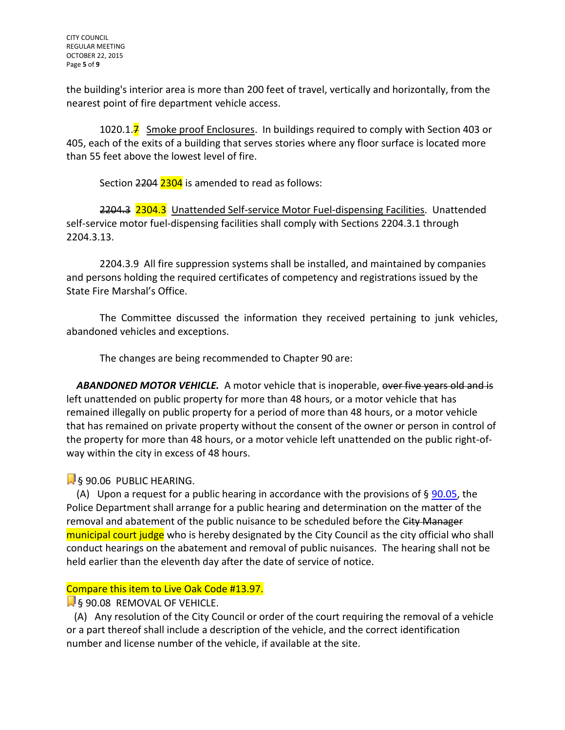the building's interior area is more than 200 feet of travel, vertically and horizontally, from the nearest point of fire department vehicle access.

1020.1.<sup>7</sup> Smoke proof Enclosures. In buildings required to comply with Section 403 or 405, each of the exits of a building that serves stories where any floor surface is located more than 55 feet above the lowest level of fire.

Section 2204 2304 is amended to read as follows:

2204.3 2304.3 Unattended Self-service Motor Fuel-dispensing Facilities. Unattended self-service motor fuel-dispensing facilities shall comply with Sections 2204.3.1 through 2204.3.13.

2204.3.9 All fire suppression systems shall be installed, and maintained by companies and persons holding the required certificates of competency and registrations issued by the State Fire Marshal's Office.

The Committee discussed the information they received pertaining to junk vehicles, abandoned vehicles and exceptions.

The changes are being recommended to Chapter 90 are:

**ABANDONED MOTOR VEHICLE.** A motor vehicle that is inoperable, over five years old and is left unattended on public property for more than 48 hours, or a motor vehicle that has remained illegally on public property for a period of more than 48 hours, or a motor vehicle that has remained on private property without the consent of the owner or person in control of the property for more than 48 hours, or a motor vehicle left unattended on the public right-ofway within the city in excess of 48 hours.

§ 90.06 PUBLIC HEARING.

(A) Upon a request for a public hearing in accordance with the provisions of  $\S$  [90.05,](http://www.amlegal.com/nxt/gateway.dll?f=jumplink$jumplink_x=Advanced$jumplink_vpc=first$jumplink_xsl=querylink.xsl$jumplink_sel=title;path;content-type;home-title;item-bookmark$jumplink_d=texas%28kirby%29$jumplink_q=%5bfield%20folio-destination-name:%2790.05%27%5d$jumplink_md=target-id=JD_90.05) the Police Department shall arrange for a public hearing and determination on the matter of the removal and abatement of the public nuisance to be scheduled before the City Manager municipal court judge who is hereby designated by the City Council as the city official who shall conduct hearings on the abatement and removal of public nuisances. The hearing shall not be held earlier than the eleventh day after the date of service of notice.

# Compare this item to Live Oak Code #13.97.

**S** 90.08 REMOVAL OF VEHICLE.

 (A) Any resolution of the City Council or order of the court requiring the removal of a vehicle or a part thereof shall include a description of the vehicle, and the correct identification number and license number of the vehicle, if available at the site.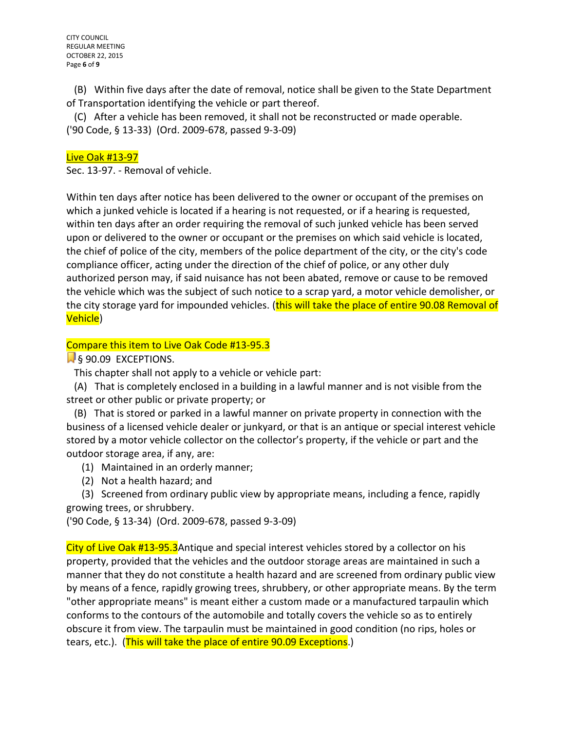(B) Within five days after the date of removal, notice shall be given to the State Department of Transportation identifying the vehicle or part thereof.

 (C) After a vehicle has been removed, it shall not be reconstructed or made operable. ('90 Code, § 13-33) (Ord. 2009-678, passed 9-3-09)

#### Live Oak #13-97

Sec. 13-97. - Removal of vehicle.

Within ten days after notice has been delivered to the owner or occupant of the premises on which a junked vehicle is located if a hearing is not requested, or if a hearing is requested, within ten days after an order requiring the removal of such junked vehicle has been served upon or delivered to the owner or occupant or the premises on which said vehicle is located, the chief of police of the city, members of the police department of the city, or the city's code compliance officer, acting under the direction of the chief of police, or any other duly authorized person may, if said nuisance has not been abated, remove or cause to be removed the vehicle which was the subject of such notice to a scrap yard, a motor vehicle demolisher, or the city storage yard for impounded vehicles. (this will take the place of entire 90.08 Removal of Vehicle)

## [Co](javascript:void(0))mpare this item to Live Oak Code #13-95.3

§ 90.09 EXCEPTIONS.

This chapter shall not apply to a vehicle or vehicle part:

 (A) That is completely enclosed in a building in a lawful manner and is not visible from the street or other public or private property; or

 (B) That is stored or parked in a lawful manner on private property in connection with the business of a licensed vehicle dealer or junkyard, or that is an antique or special interest vehicle stored by a motor vehicle collector on the collector's property, if the vehicle or part and the outdoor storage area, if any, are:

- (1) Maintained in an orderly manner;
- (2) Not a health hazard; and

 (3) Screened from ordinary public view by appropriate means, including a fence, rapidly growing trees, or shrubbery.

('90 Code, § 13-34) (Ord. 2009-678, passed 9-3-09)

City of Live Oak #13-95.3Antique and special interest vehicles stored by a collector on his property, provided that the vehicles and the outdoor storage areas are maintained in such a manner that they do not constitute a health hazard and are screened from ordinary public view by means of a fence, rapidly growing trees, shrubbery, or other appropriate means. By the term "other appropriate means" is meant either a custom made or a manufactured tarpaulin which conforms to the contours of the automobile and totally covers the vehicle so as to entirely obscure it from view. The tarpaulin must be maintained in good condition (no rips, holes or tears, etc.). (This will take the place of entire 90.09 Exceptions.)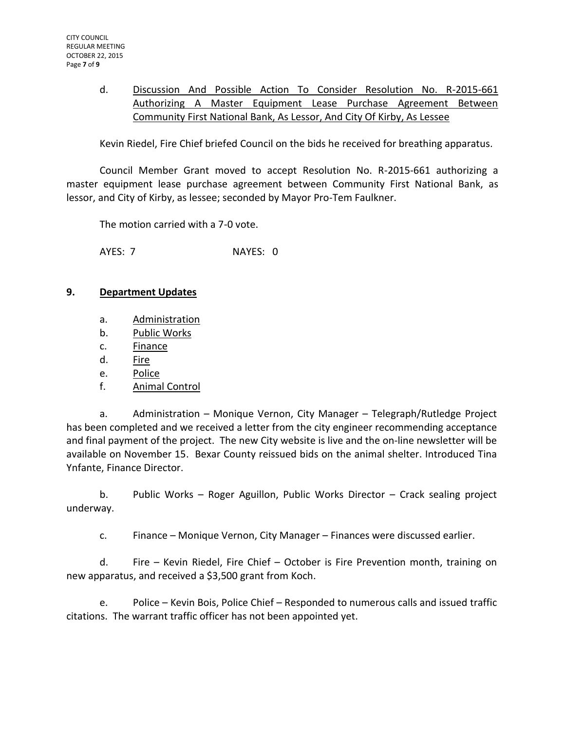## d. Discussion And Possible Action To Consider Resolution No. R-2015-661 Authorizing A Master Equipment Lease Purchase Agreement Between Community First National Bank, As Lessor, And City Of Kirby, As Lessee

Kevin Riedel, Fire Chief briefed Council on the bids he received for breathing apparatus.

Council Member Grant moved to accept Resolution No. R-2015-661 authorizing a master equipment lease purchase agreement between Community First National Bank, as lessor, and City of Kirby, as lessee; seconded by Mayor Pro-Tem Faulkner.

The motion carried with a 7-0 vote.

AYES: 7 NAYES: 0

## **9. Department Updates**

- a. Administration
- b. Public Works
- c. Finance
- d. Fire
- e. Police
- f. Animal Control

a. Administration – Monique Vernon, City Manager – Telegraph/Rutledge Project has been completed and we received a letter from the city engineer recommending acceptance and final payment of the project. The new City website is live and the on-line newsletter will be available on November 15. Bexar County reissued bids on the animal shelter. Introduced Tina Ynfante, Finance Director.

b. Public Works – Roger Aguillon, Public Works Director – Crack sealing project underway.

c. Finance – Monique Vernon, City Manager – Finances were discussed earlier.

d. Fire – Kevin Riedel, Fire Chief – October is Fire Prevention month, training on new apparatus, and received a \$3,500 grant from Koch.

e. Police – Kevin Bois, Police Chief – Responded to numerous calls and issued traffic citations. The warrant traffic officer has not been appointed yet.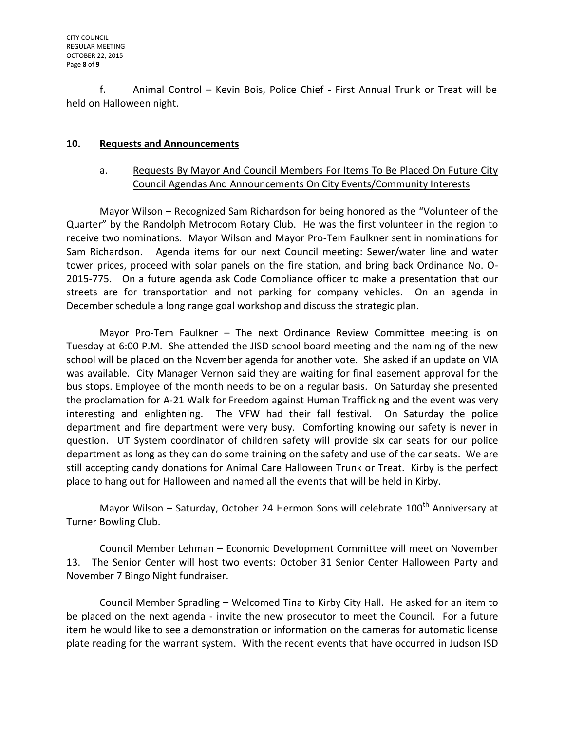f. Animal Control – Kevin Bois, Police Chief - First Annual Trunk or Treat will be held on Halloween night.

## **10. Requests and Announcements**

## a. Requests By Mayor And Council Members For Items To Be Placed On Future City Council Agendas And Announcements On City Events/Community Interests

Mayor Wilson – Recognized Sam Richardson for being honored as the "Volunteer of the Quarter" by the Randolph Metrocom Rotary Club. He was the first volunteer in the region to receive two nominations. Mayor Wilson and Mayor Pro-Tem Faulkner sent in nominations for Sam Richardson. Agenda items for our next Council meeting: Sewer/water line and water tower prices, proceed with solar panels on the fire station, and bring back Ordinance No. O-2015-775. On a future agenda ask Code Compliance officer to make a presentation that our streets are for transportation and not parking for company vehicles. On an agenda in December schedule a long range goal workshop and discuss the strategic plan.

Mayor Pro-Tem Faulkner – The next Ordinance Review Committee meeting is on Tuesday at 6:00 P.M. She attended the JISD school board meeting and the naming of the new school will be placed on the November agenda for another vote. She asked if an update on VIA was available. City Manager Vernon said they are waiting for final easement approval for the bus stops. Employee of the month needs to be on a regular basis. On Saturday she presented the proclamation for A-21 Walk for Freedom against Human Trafficking and the event was very interesting and enlightening. The VFW had their fall festival. On Saturday the police department and fire department were very busy. Comforting knowing our safety is never in question. UT System coordinator of children safety will provide six car seats for our police department as long as they can do some training on the safety and use of the car seats. We are still accepting candy donations for Animal Care Halloween Trunk or Treat. Kirby is the perfect place to hang out for Halloween and named all the events that will be held in Kirby.

Mayor Wilson – Saturday, October 24 Hermon Sons will celebrate  $100<sup>th</sup>$  Anniversary at Turner Bowling Club.

Council Member Lehman – Economic Development Committee will meet on November 13. The Senior Center will host two events: October 31 Senior Center Halloween Party and November 7 Bingo Night fundraiser.

Council Member Spradling – Welcomed Tina to Kirby City Hall. He asked for an item to be placed on the next agenda - invite the new prosecutor to meet the Council. For a future item he would like to see a demonstration or information on the cameras for automatic license plate reading for the warrant system. With the recent events that have occurred in Judson ISD